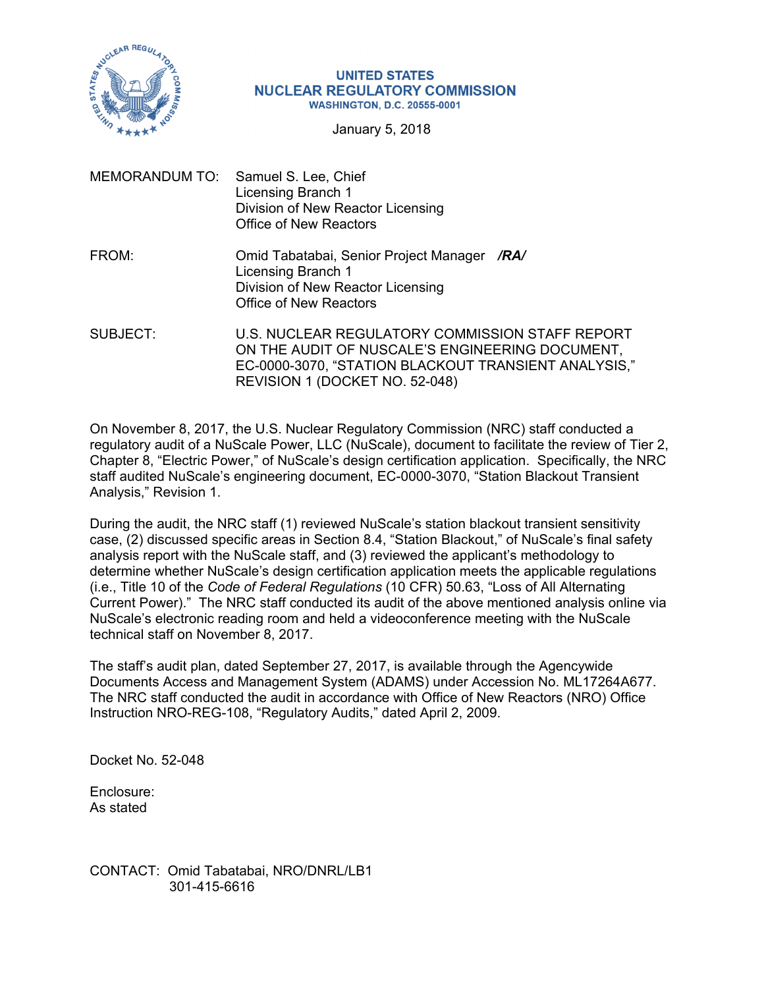

#### **UNITED STATES NUCLEAR REGULATORY COMMISSION WASHINGTON, D.C. 20555-0001**

January 5, 2018

- MEMORANDUM TO: Samuel S. Lee, Chief Licensing Branch 1 Division of New Reactor Licensing Office of New Reactors
- FROM: Omid Tabatabai, Senior Project Manager */RA/*  Licensing Branch 1 Division of New Reactor Licensing Office of New Reactors
- SUBJECT: U.S. NUCLEAR REGULATORY COMMISSION STAFF REPORT ON THE AUDIT OF NUSCALE'S ENGINEERING DOCUMENT, EC-0000-3070, "STATION BLACKOUT TRANSIENT ANALYSIS," REVISION 1 (DOCKET NO. 52-048)

On November 8, 2017, the U.S. Nuclear Regulatory Commission (NRC) staff conducted a regulatory audit of a NuScale Power, LLC (NuScale), document to facilitate the review of Tier 2, Chapter 8, "Electric Power," of NuScale's design certification application. Specifically, the NRC staff audited NuScale's engineering document, EC-0000-3070, "Station Blackout Transient Analysis," Revision 1.

During the audit, the NRC staff (1) reviewed NuScale's station blackout transient sensitivity case, (2) discussed specific areas in Section 8.4, "Station Blackout," of NuScale's final safety analysis report with the NuScale staff, and (3) reviewed the applicant's methodology to determine whether NuScale's design certification application meets the applicable regulations (i.e., Title 10 of the *Code of Federal Regulations* (10 CFR) 50.63, "Loss of All Alternating Current Power)." The NRC staff conducted its audit of the above mentioned analysis online via NuScale's electronic reading room and held a videoconference meeting with the NuScale technical staff on November 8, 2017.

The staff's audit plan, dated September 27, 2017, is available through the Agencywide Documents Access and Management System (ADAMS) under Accession No. ML17264A677. The NRC staff conducted the audit in accordance with Office of New Reactors (NRO) Office Instruction NRO-REG-108, "Regulatory Audits," dated April 2, 2009.

Docket No. 52-048

Enclosure: As stated

CONTACT: Omid Tabatabai, NRO/DNRL/LB1 301-415-6616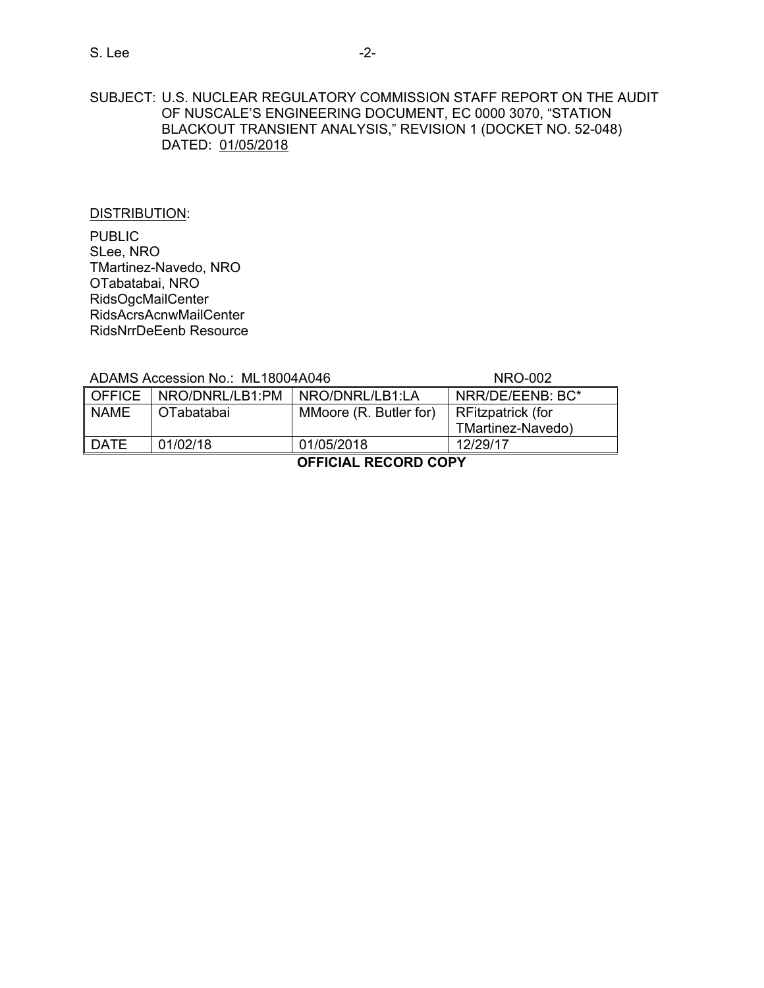## SUBJECT: U.S. NUCLEAR REGULATORY COMMISSION STAFF REPORT ON THE AUDIT OF NUSCALE'S ENGINEERING DOCUMENT, EC 0000 3070, "STATION BLACKOUT TRANSIENT ANALYSIS," REVISION 1 (DOCKET NO. 52-048) DATED: 01/05/2018

#### DISTRIBUTION:

PUBLIC SLee, NRO TMartinez-Navedo, NRO OTabatabai, NRO RidsOgcMailCenter RidsAcrsAcnwMailCenter RidsNrrDeEenb Resource

ADAMS Accession No.: ML18004A046 NRO-002

| MMoore (R. Butler for)<br>RFitzpatrick (for |
|---------------------------------------------|
| TMartinez-Navedo)                           |
| 12/29/17                                    |
|                                             |

**OFFICIAL RECORD COPY**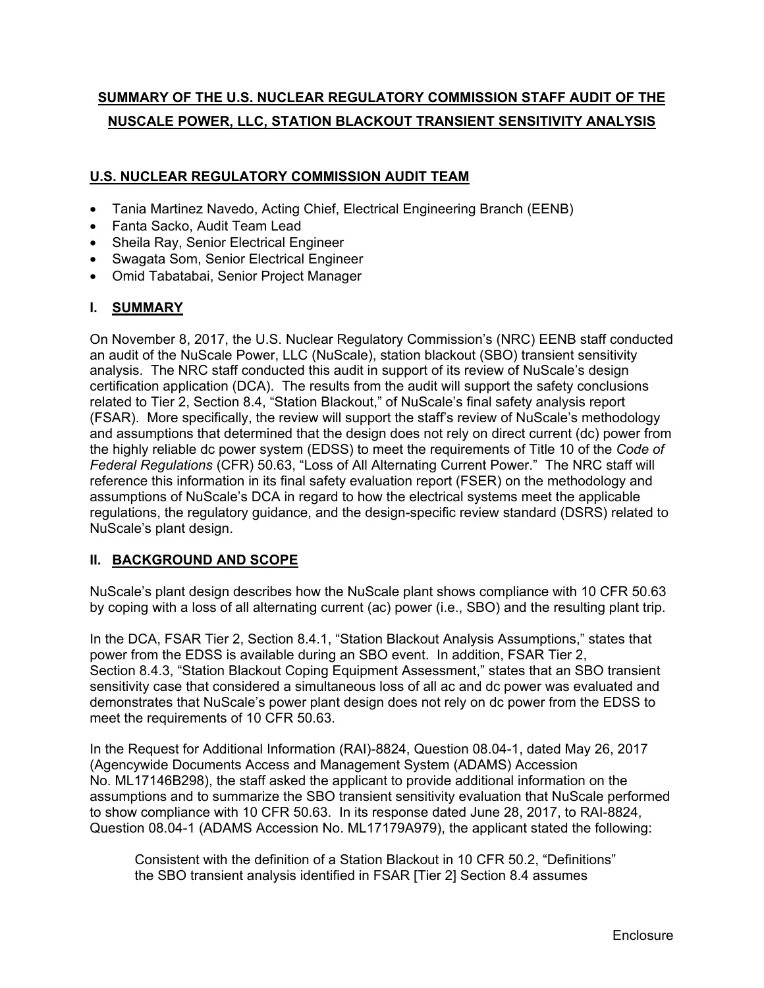# **SUMMARY OF THE U.S. NUCLEAR REGULATORY COMMISSION STAFF AUDIT OF THE NUSCALE POWER, LLC, STATION BLACKOUT TRANSIENT SENSITIVITY ANALYSIS**

## **U.S. NUCLEAR REGULATORY COMMISSION AUDIT TEAM**

- Tania Martinez Navedo, Acting Chief, Electrical Engineering Branch (EENB)
- Fanta Sacko, Audit Team Lead
- Sheila Ray, Senior Electrical Engineer
- Swagata Som, Senior Electrical Engineer
- Omid Tabatabai, Senior Project Manager

## **I. SUMMARY**

On November 8, 2017, the U.S. Nuclear Regulatory Commission's (NRC) EENB staff conducted an audit of the NuScale Power, LLC (NuScale), station blackout (SBO) transient sensitivity analysis. The NRC staff conducted this audit in support of its review of NuScale's design certification application (DCA). The results from the audit will support the safety conclusions related to Tier 2, Section 8.4, "Station Blackout," of NuScale's final safety analysis report (FSAR). More specifically, the review will support the staff's review of NuScale's methodology and assumptions that determined that the design does not rely on direct current (dc) power from the highly reliable dc power system (EDSS) to meet the requirements of Title 10 of the *Code of Federal Regulations* (CFR) 50.63, "Loss of All Alternating Current Power." The NRC staff will reference this information in its final safety evaluation report (FSER) on the methodology and assumptions of NuScale's DCA in regard to how the electrical systems meet the applicable regulations, the regulatory guidance, and the design-specific review standard (DSRS) related to NuScale's plant design.

## **II. BACKGROUND AND SCOPE**

NuScale's plant design describes how the NuScale plant shows compliance with 10 CFR 50.63 by coping with a loss of all alternating current (ac) power (i.e., SBO) and the resulting plant trip.

In the DCA, FSAR Tier 2, Section 8.4.1, "Station Blackout Analysis Assumptions," states that power from the EDSS is available during an SBO event. In addition, FSAR Tier 2, Section 8.4.3, "Station Blackout Coping Equipment Assessment," states that an SBO transient sensitivity case that considered a simultaneous loss of all ac and dc power was evaluated and demonstrates that NuScale's power plant design does not rely on dc power from the EDSS to meet the requirements of 10 CFR 50.63.

In the Request for Additional Information (RAI)-8824, Question 08.04-1, dated May 26, 2017 (Agencywide Documents Access and Management System (ADAMS) Accession No. ML17146B298), the staff asked the applicant to provide additional information on the assumptions and to summarize the SBO transient sensitivity evaluation that NuScale performed to show compliance with 10 CFR 50.63. In its response dated June 28, 2017, to RAI-8824, Question 08.04-1 (ADAMS Accession No. ML17179A979), the applicant stated the following:

Consistent with the definition of a Station Blackout in 10 CFR 50.2, "Definitions" the SBO transient analysis identified in FSAR [Tier 2] Section 8.4 assumes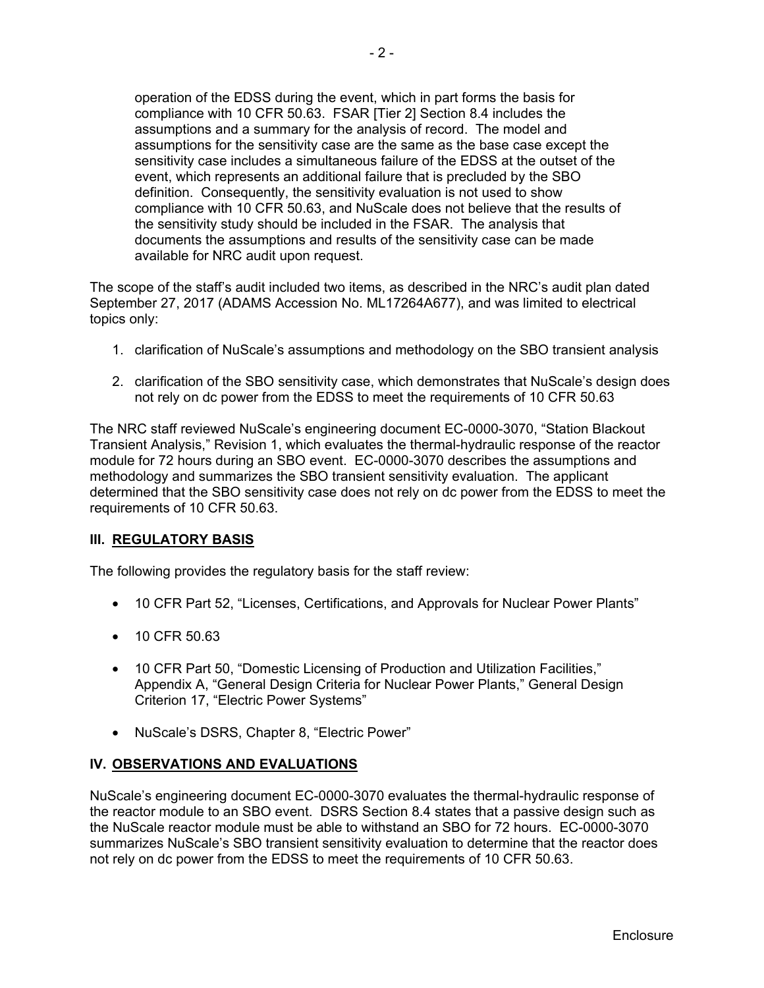operation of the EDSS during the event, which in part forms the basis for compliance with 10 CFR 50.63. FSAR [Tier 2] Section 8.4 includes the assumptions and a summary for the analysis of record. The model and assumptions for the sensitivity case are the same as the base case except the sensitivity case includes a simultaneous failure of the EDSS at the outset of the event, which represents an additional failure that is precluded by the SBO definition. Consequently, the sensitivity evaluation is not used to show compliance with 10 CFR 50.63, and NuScale does not believe that the results of the sensitivity study should be included in the FSAR. The analysis that documents the assumptions and results of the sensitivity case can be made available for NRC audit upon request.

The scope of the staff's audit included two items, as described in the NRC's audit plan dated September 27, 2017 (ADAMS Accession No. ML17264A677), and was limited to electrical topics only:

- 1. clarification of NuScale's assumptions and methodology on the SBO transient analysis
- 2. clarification of the SBO sensitivity case, which demonstrates that NuScale's design does not rely on dc power from the EDSS to meet the requirements of 10 CFR 50.63

The NRC staff reviewed NuScale's engineering document EC-0000-3070, "Station Blackout Transient Analysis," Revision 1, which evaluates the thermal-hydraulic response of the reactor module for 72 hours during an SBO event. EC-0000-3070 describes the assumptions and methodology and summarizes the SBO transient sensitivity evaluation. The applicant determined that the SBO sensitivity case does not rely on dc power from the EDSS to meet the requirements of 10 CFR 50.63.

### **III. REGULATORY BASIS**

The following provides the regulatory basis for the staff review:

- 10 CFR Part 52, "Licenses, Certifications, and Approvals for Nuclear Power Plants"
- 10 CFR 50.63
- 10 CFR Part 50, "Domestic Licensing of Production and Utilization Facilities," Appendix A, "General Design Criteria for Nuclear Power Plants," General Design Criterion 17, "Electric Power Systems"
- NuScale's DSRS, Chapter 8, "Electric Power"

### **IV. OBSERVATIONS AND EVALUATIONS**

NuScale's engineering document EC-0000-3070 evaluates the thermal-hydraulic response of the reactor module to an SBO event. DSRS Section 8.4 states that a passive design such as the NuScale reactor module must be able to withstand an SBO for 72 hours. EC-0000-3070 summarizes NuScale's SBO transient sensitivity evaluation to determine that the reactor does not rely on dc power from the EDSS to meet the requirements of 10 CFR 50.63.